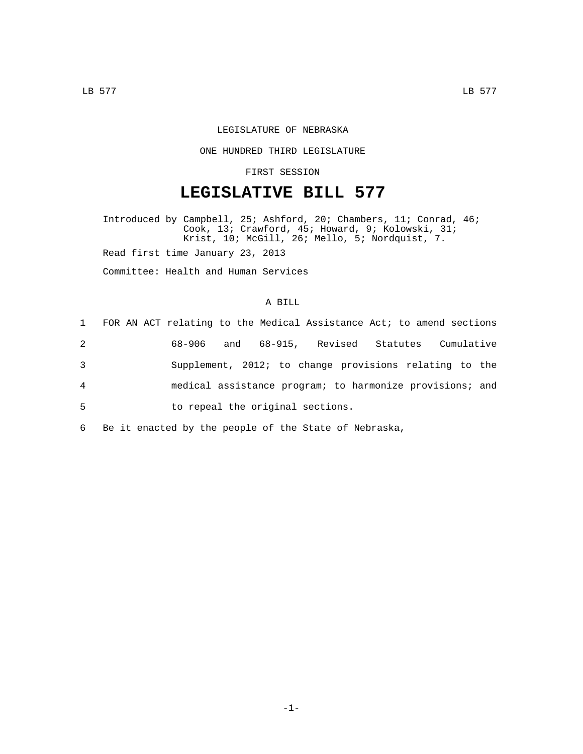## LEGISLATURE OF NEBRASKA

#### ONE HUNDRED THIRD LEGISLATURE

## FIRST SESSION

# **LEGISLATIVE BILL 577**

Introduced by Campbell, 25; Ashford, 20; Chambers, 11; Conrad, 46; Cook, 13; Crawford, 45; Howard, 9; Kolowski, 31; Krist, 10; McGill, 26; Mello, 5; Nordquist, 7. Read first time January 23, 2013

Committee: Health and Human Services

#### A BILL

|                | 1 FOR AN ACT relating to the Medical Assistance Act; to amend sections |
|----------------|------------------------------------------------------------------------|
| $\overline{2}$ | and 68-915, Revised Statutes<br>Cumulative<br>68–906                   |
| 3              | Supplement, 2012; to change provisions relating to the                 |
| $\overline{4}$ | medical assistance program; to harmonize provisions; and               |
| 5              | to repeal the original sections.                                       |
|                |                                                                        |

6 Be it enacted by the people of the State of Nebraska,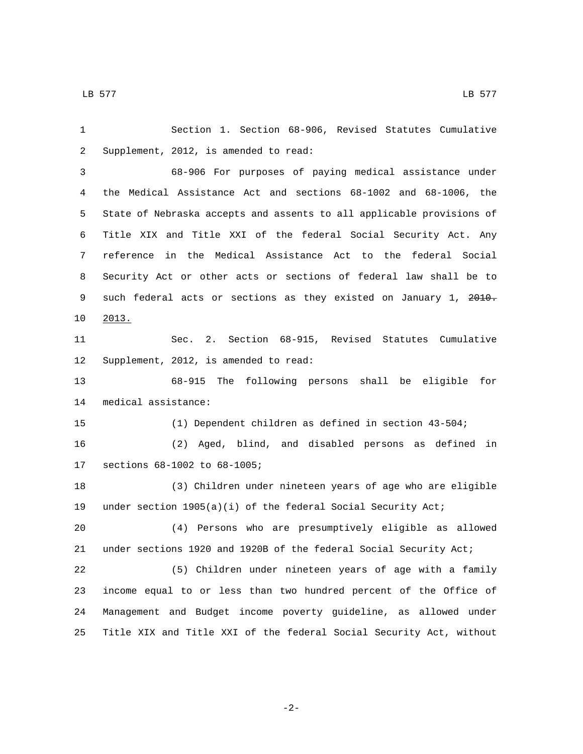Section 1. Section 68-906, Revised Statutes Cumulative 2 Supplement, 2012, is amended to read: 68-906 For purposes of paying medical assistance under the Medical Assistance Act and sections 68-1002 and 68-1006, the State of Nebraska accepts and assents to all applicable provisions of Title XIX and Title XXI of the federal Social Security Act. Any reference in the Medical Assistance Act to the federal Social Security Act or other acts or sections of federal law shall be to 9 such federal acts or sections as they existed on January 1, 2010. 10 2013. Sec. 2. Section 68-915, Revised Statutes Cumulative 12 Supplement, 2012, is amended to read: 68-915 The following persons shall be eligible for 14 medical assistance: (1) Dependent children as defined in section 43-504; (2) Aged, blind, and disabled persons as defined in 17 sections 68-1002 to 68-1005; (3) Children under nineteen years of age who are eligible under section 1905(a)(i) of the federal Social Security Act; (4) Persons who are presumptively eligible as allowed under sections 1920 and 1920B of the federal Social Security Act; (5) Children under nineteen years of age with a family income equal to or less than two hundred percent of the Office of Management and Budget income poverty guideline, as allowed under Title XIX and Title XXI of the federal Social Security Act, without

-2-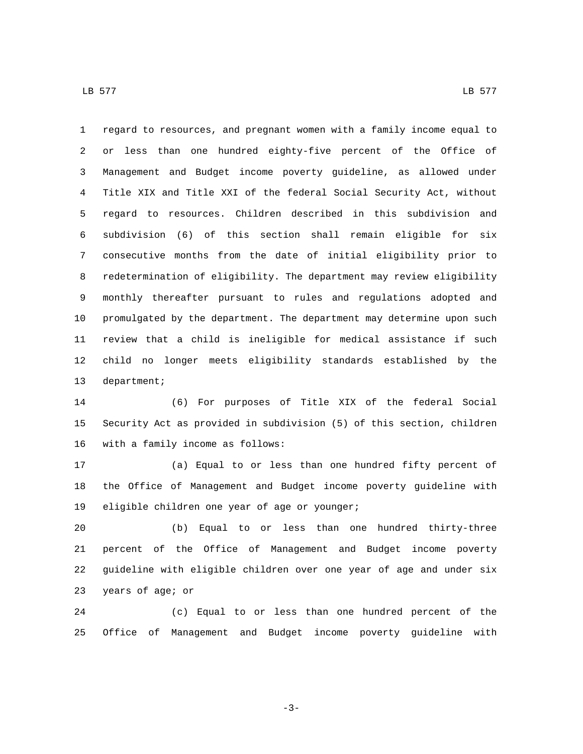regard to resources, and pregnant women with a family income equal to or less than one hundred eighty-five percent of the Office of Management and Budget income poverty guideline, as allowed under Title XIX and Title XXI of the federal Social Security Act, without regard to resources. Children described in this subdivision and subdivision (6) of this section shall remain eligible for six consecutive months from the date of initial eligibility prior to redetermination of eligibility. The department may review eligibility monthly thereafter pursuant to rules and regulations adopted and promulgated by the department. The department may determine upon such review that a child is ineligible for medical assistance if such

 child no longer meets eligibility standards established by the 13 department;

 (6) For purposes of Title XIX of the federal Social Security Act as provided in subdivision (5) of this section, children 16 with a family income as follows:

 (a) Equal to or less than one hundred fifty percent of the Office of Management and Budget income poverty guideline with 19 eligible children one year of age or younger;

 (b) Equal to or less than one hundred thirty-three percent of the Office of Management and Budget income poverty guideline with eligible children over one year of age and under six 23 years of age; or

 (c) Equal to or less than one hundred percent of the Office of Management and Budget income poverty guideline with

-3-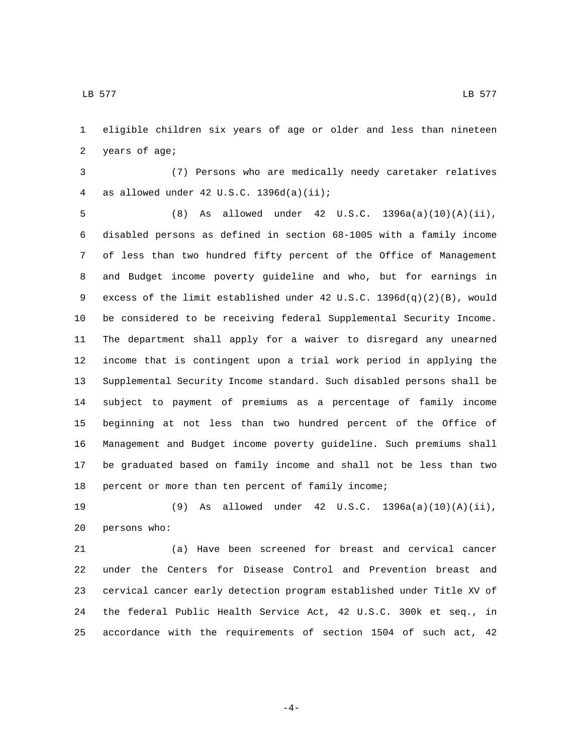eligible children six years of age or older and less than nineteen 2 years of age;

 (7) Persons who are medically needy caretaker relatives 4 as allowed under 42 U.S.C.  $1396d(a)(ii)$ ;

 (8) As allowed under 42 U.S.C. 1396a(a)(10)(A)(ii), disabled persons as defined in section 68-1005 with a family income of less than two hundred fifty percent of the Office of Management and Budget income poverty guideline and who, but for earnings in excess of the limit established under 42 U.S.C. 1396d(q)(2)(B), would be considered to be receiving federal Supplemental Security Income. The department shall apply for a waiver to disregard any unearned income that is contingent upon a trial work period in applying the Supplemental Security Income standard. Such disabled persons shall be subject to payment of premiums as a percentage of family income beginning at not less than two hundred percent of the Office of Management and Budget income poverty guideline. Such premiums shall be graduated based on family income and shall not be less than two percent or more than ten percent of family income;

 (9) As allowed under 42 U.S.C. 1396a(a)(10)(A)(ii), 20 persons who:

 (a) Have been screened for breast and cervical cancer under the Centers for Disease Control and Prevention breast and cervical cancer early detection program established under Title XV of the federal Public Health Service Act, 42 U.S.C. 300k et seq., in accordance with the requirements of section 1504 of such act, 42

-4-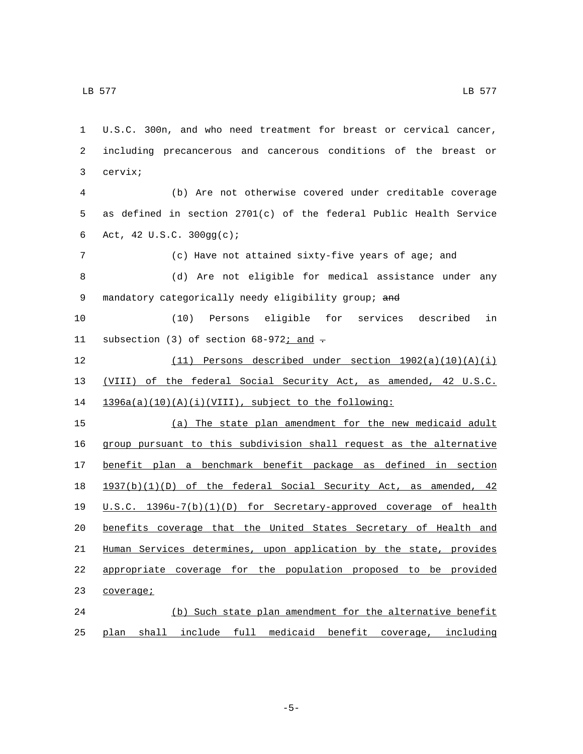3 cervix;

 $\,$  LB 577  $\,$  LB 577  $\,$ 

 (b) Are not otherwise covered under creditable coverage as defined in section 2701(c) of the federal Public Health Service Act, 42 U.S.C. 300gg(c);6 (c) Have not attained sixty-five years of age; and (d) Are not eligible for medical assistance under any 9 mandatory categorically needy eligibility group; and (10) Persons eligible for services described in 11 subsection (3) of section  $68-972i$  and  $\pm$  (11) Persons described under section 1902(a)(10)(A)(i) (VIII) of the federal Social Security Act, as amended, 42 U.S.C. 1396a(a)(10)(A)(i)(VIII), subject to the following: (a) The state plan amendment for the new medicaid adult group pursuant to this subdivision shall request as the alternative benefit plan a benchmark benefit package as defined in section 1937(b)(1)(D) of the federal Social Security Act, as amended, 42 U.S.C. 1396u-7(b)(1)(D) for Secretary-approved coverage of health benefits coverage that the United States Secretary of Health and Human Services determines, upon application by the state, provides appropriate coverage for the population proposed to be provided 23 coverage; (b) Such state plan amendment for the alternative benefit

U.S.C. 300n, and who need treatment for breast or cervical cancer,

including precancerous and cancerous conditions of the breast or

plan shall include full medicaid benefit coverage, including

-5-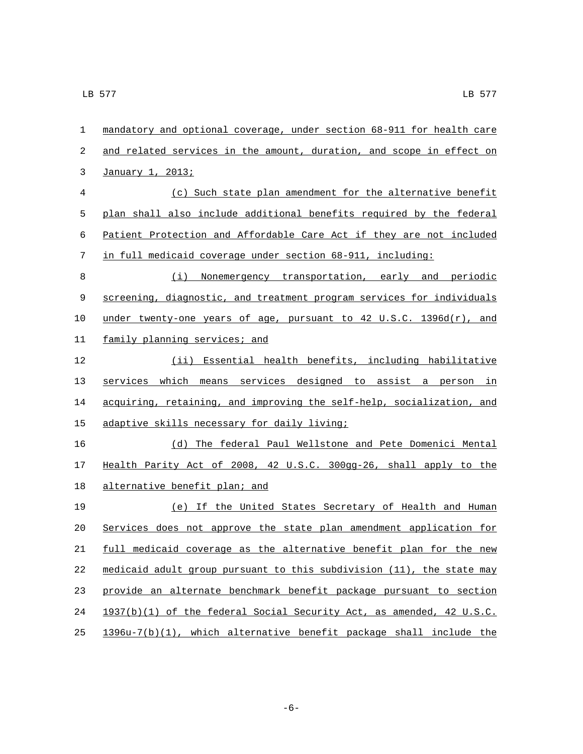| $\mathbf{1}$   | mandatory and optional coverage, under section 68-911 for health care |
|----------------|-----------------------------------------------------------------------|
| 2              | and related services in the amount, duration, and scope in effect on  |
| 3              | January 1, 2013;                                                      |
| $\overline{4}$ | (c) Such state plan amendment for the alternative benefit             |
| 5              | plan shall also include additional benefits required by the federal   |
| 6              | Patient Protection and Affordable Care Act if they are not included   |
| 7              | in full medicaid coverage under section 68-911, including:            |
| 8              | (i) Nonemergency transportation, early and periodic                   |
| 9              | screening, diagnostic, and treatment program services for individuals |
| 10             | under twenty-one years of age, pursuant to 42 U.S.C. 1396d(r), and    |
| 11             | family planning services; and                                         |
| 12             | (ii) Essential health benefits, including habilitative                |
| 13             | services which means services designed to assist a person in          |
| 14             | acquiring, retaining, and improving the self-help, socialization, and |
| 15             | adaptive skills necessary for daily living;                           |
| 16             | (d) The federal Paul Wellstone and Pete Domenici Mental               |
| 17             | Health Parity Act of 2008, 42 U.S.C. 300gg-26, shall apply to the     |
| 18             | alternative benefit plan; and                                         |
| 19             | (e) If the United States Secretary of Health and Human                |
| 20             | Services does not approve the state plan amendment application for    |
| 21             | full medicaid coverage as the alternative benefit plan for the new    |
| 22             | medicaid adult group pursuant to this subdivision (11), the state may |
| 23             | provide an alternate benchmark benefit package pursuant to section    |
| 24             | 1937(b)(1) of the federal Social Security Act, as amended, 42 U.S.C.  |
| 25             | 1396u-7(b)(1), which alternative benefit package shall include the    |